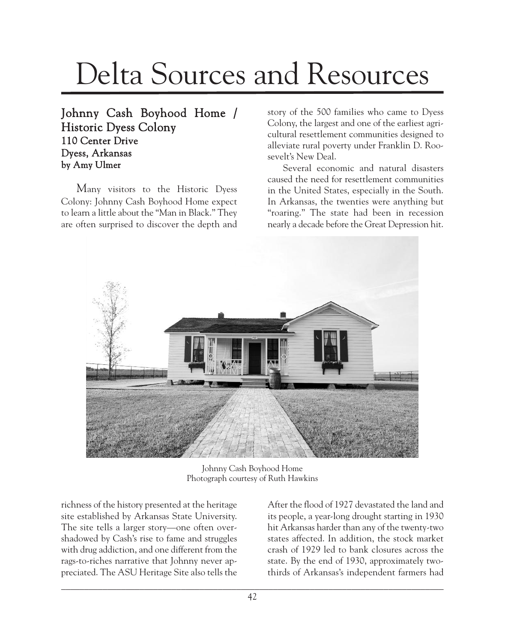## Delta Sources and Resources

## Johnny Cash Boyhood Home / Historic Dyess Colony 110 Center Drive Dyess, Arkansas by Amy Ulmer

Many visitors to the Historic Dyess Colony: Johnny Cash Boyhood Home expect to learn a little about the "Man in Black." They are often surprised to discover the depth and

story of the 500 families who came to Dyess Colony, the largest and one of the earliest agricultural resettlement communities designed to alleviate rural poverty under Franklin D. Roosevelt's New Deal.

Several economic and natural disasters caused the need for resettlement communities in the United States, especially in the South. In Arkansas, the twenties were anything but "roaring." The state had been in recession nearly a decade before the Great Depression hit.



Johnny Cash Boyhood Home Photograph courtesy of Ruth Hawkins

richness of the history presented at the heritage site established by Arkansas State University. The site tells a larger story—one often overshadowed by Cash's rise to fame and struggles with drug addiction, and one different from the rags-to-riches narrative that Johnny never appreciated. The ASU Heritage Site also tells the After the flood of 1927 devastated the land and its people, a year-long drought starting in 1930 hit Arkansas harder than any of the twenty-two states affected. In addition, the stock market crash of 1929 led to bank closures across the state. By the end of 1930, approximately twothirds of Arkansas's independent farmers had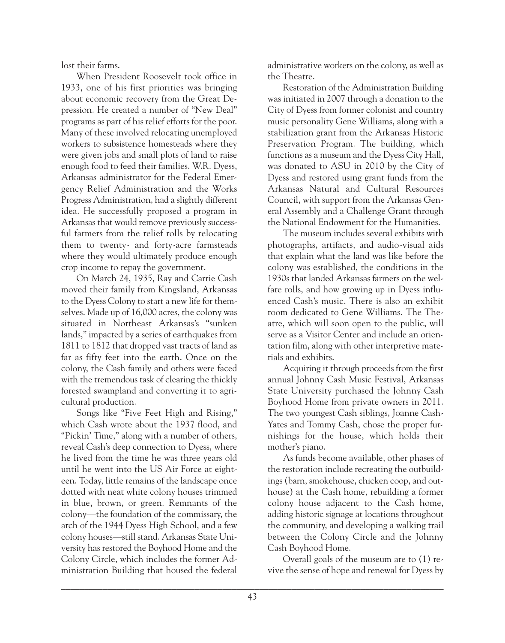lost their farms.

When President Roosevelt took office in 1933, one of his first priorities was bringing about economic recovery from the Great Depression. He created a number of "New Deal" programs as part of his relief efforts for the poor. Many of these involved relocating unemployed workers to subsistence homesteads where they were given jobs and small plots of land to raise enough food to feed their families. W.R. Dyess, Arkansas administrator for the Federal Emergency Relief Administration and the Works Progress Administration, had a slightly different idea. He successfully proposed a program in Arkansas that would remove previously successful farmers from the relief rolls by relocating them to twenty- and forty-acre farmsteads where they would ultimately produce enough crop income to repay the government.

On March 24, 1935, Ray and Carrie Cash moved their family from Kingsland, Arkansas to the Dyess Colony to start a new life for themselves. Made up of 16,000 acres, the colony was situated in Northeast Arkansas's "sunken lands," impacted by a series of earthquakes from 1811 to 1812 that dropped vast tracts of land as far as fifty feet into the earth. Once on the colony, the Cash family and others were faced with the tremendous task of clearing the thickly forested swampland and converting it to agricultural production.

Songs like "Five Feet High and Rising," which Cash wrote about the 1937 flood, and "Pickin' Time," along with a number of others, reveal Cash's deep connection to Dyess, where he lived from the time he was three years old until he went into the US Air Force at eighteen. Today, little remains of the landscape once dotted with neat white colony houses trimmed in blue, brown, or green. Remnants of the colony—the foundation of the commissary, the arch of the 1944 Dyess High School, and a few colony houses—still stand. Arkansas State University has restored the Boyhood Home and the Colony Circle, which includes the former Administration Building that housed the federal

administrative workers on the colony, as well as the Theatre.

Restoration of the Administration Building was initiated in 2007 through a donation to the City of Dyess from former colonist and country music personality Gene Williams, along with a stabilization grant from the Arkansas Historic Preservation Program. The building, which functions as a museum and the Dyess City Hall, was donated to ASU in 2010 by the City of Dyess and restored using grant funds from the Arkansas Natural and Cultural Resources Council, with support from the Arkansas General Assembly and a Challenge Grant through the National Endowment for the Humanities.

The museum includes several exhibits with photographs, artifacts, and audio-visual aids that explain what the land was like before the colony was established, the conditions in the 1930s that landed Arkansas farmers on the welfare rolls, and how growing up in Dyess influenced Cash's music. There is also an exhibit room dedicated to Gene Williams. The Theatre, which will soon open to the public, will serve as a Visitor Center and include an orientation film, along with other interpretive materials and exhibits.

Acquiring it through proceeds from the first annual Johnny Cash Music Festival, Arkansas State University purchased the Johnny Cash Boyhood Home from private owners in 2011. The two youngest Cash siblings, Joanne Cash-Yates and Tommy Cash, chose the proper furnishings for the house, which holds their mother's piano.

As funds become available, other phases of the restoration include recreating the outbuildings (barn, smokehouse, chicken coop, and outhouse) at the Cash home, rebuilding a former colony house adjacent to the Cash home, adding historic signage at locations throughout the community, and developing a walking trail between the Colony Circle and the Johnny Cash Boyhood Home.

Overall goals of the museum are to (1) revive the sense of hope and renewal for Dyess by